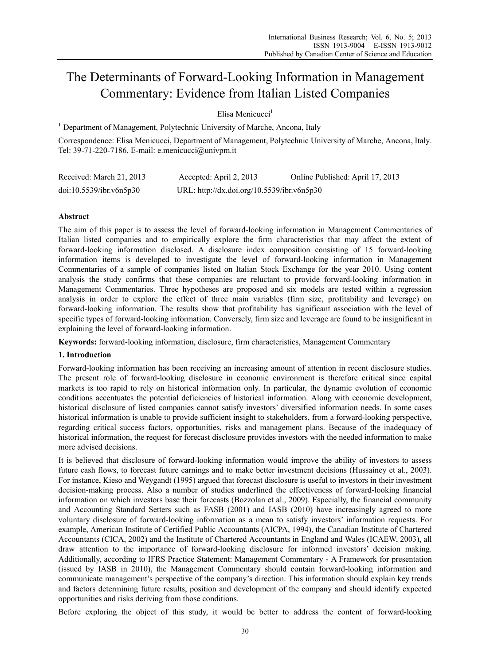# The Determinants of Forward-Looking Information in Management Commentary: Evidence from Italian Listed Companies

Elisa Menicucci<sup>1</sup>

<sup>1</sup> Department of Management, Polytechnic University of Marche, Ancona, Italy

Correspondence: Elisa Menicucci, Department of Management, Polytechnic University of Marche, Ancona, Italy. Tel: 39-71-220-7186. E-mail: e.menicucci@univpm.it

| Received: March 21, 2013 | Accepted: April 2, 2013                    | Online Published: April 17, 2013 |
|--------------------------|--------------------------------------------|----------------------------------|
| doi:10.5539/ibr.v6n5p30  | URL: http://dx.doi.org/10.5539/ibr.v6n5p30 |                                  |

## **Abstract**

The aim of this paper is to assess the level of forward-looking information in Management Commentaries of Italian listed companies and to empirically explore the firm characteristics that may affect the extent of forward-looking information disclosed. A disclosure index composition consisting of 15 forward-looking information items is developed to investigate the level of forward-looking information in Management Commentaries of a sample of companies listed on Italian Stock Exchange for the year 2010. Using content analysis the study confirms that these companies are reluctant to provide forward-looking information in Management Commentaries. Three hypotheses are proposed and six models are tested within a regression analysis in order to explore the effect of three main variables (firm size, profitability and leverage) on forward-looking information. The results show that profitability has significant association with the level of specific types of forward-looking information. Conversely, firm size and leverage are found to be insignificant in explaining the level of forward-looking information.

**Keywords:** forward-looking information, disclosure, firm characteristics, Management Commentary

## **1. Introduction**

Forward-looking information has been receiving an increasing amount of attention in recent disclosure studies. The present role of forward-looking disclosure in economic environment is therefore critical since capital markets is too rapid to rely on historical information only. In particular, the dynamic evolution of economic conditions accentuates the potential deficiencies of historical information. Along with economic development, historical disclosure of listed companies cannot satisfy investors' diversified information needs. In some cases historical information is unable to provide sufficient insight to stakeholders, from a forward-looking perspective, regarding critical success factors, opportunities, risks and management plans. Because of the inadequacy of historical information, the request for forecast disclosure provides investors with the needed information to make more advised decisions.

It is believed that disclosure of forward-looking information would improve the ability of investors to assess future cash flows, to forecast future earnings and to make better investment decisions (Hussainey et al., 2003). For instance, Kieso and Weygandt (1995) argued that forecast disclosure is useful to investors in their investment decision-making process. Also a number of studies underlined the effectiveness of forward-looking financial information on which investors base their forecasts (Bozzolan et al., 2009). Especially, the financial community and Accounting Standard Setters such as FASB (2001) and IASB (2010) have increasingly agreed to more voluntary disclosure of forward-looking information as a mean to satisfy investors' information requests. For example, American Institute of Certified Public Accountants (AICPA, 1994), the Canadian Institute of Chartered Accountants (CICA, 2002) and the Institute of Chartered Accountants in England and Wales (ICAEW, 2003), all draw attention to the importance of forward-looking disclosure for informed investors' decision making. Additionally, according to IFRS Practice Statement: Management Commentary - A Framework for presentation (issued by IASB in 2010), the Management Commentary should contain forward-looking information and communicate management's perspective of the company's direction. This information should explain key trends and factors determining future results, position and development of the company and should identify expected opportunities and risks deriving from those conditions.

Before exploring the object of this study, it would be better to address the content of forward-looking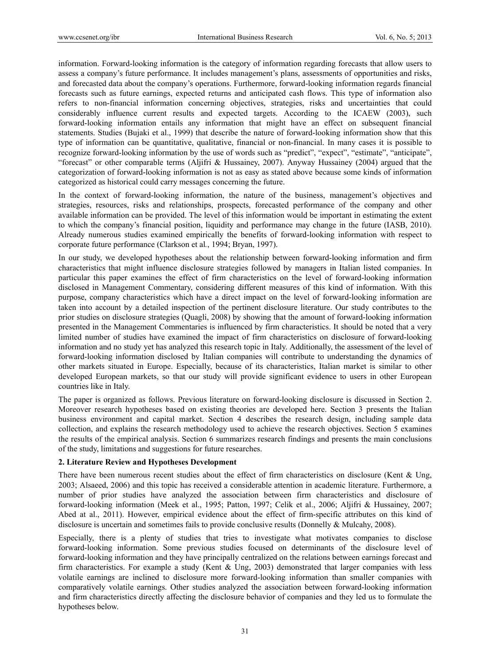information. Forward-looking information is the category of information regarding forecasts that allow users to assess a company's future performance. It includes management's plans, assessments of opportunities and risks, and forecasted data about the company's operations. Furthermore, forward-looking information regards financial forecasts such as future earnings, expected returns and anticipated cash flows. This type of information also refers to non-financial information concerning objectives, strategies, risks and uncertainties that could considerably influence current results and expected targets. According to the ICAEW (2003), such forward-looking information entails any information that might have an effect on subsequent financial statements. Studies (Bujaki et al., 1999) that describe the nature of forward-looking information show that this type of information can be quantitative, qualitative, financial or non-financial. In many cases it is possible to recognize forward-looking information by the use of words such as "predict", "expect", "estimate", "anticipate", "forecast" or other comparable terms (Aljifri & Hussainey, 2007). Anyway Hussainey (2004) argued that the categorization of forward-looking information is not as easy as stated above because some kinds of information categorized as historical could carry messages concerning the future.

In the context of forward-looking information, the nature of the business, management's objectives and strategies, resources, risks and relationships, prospects, forecasted performance of the company and other available information can be provided. The level of this information would be important in estimating the extent to which the company's financial position, liquidity and performance may change in the future (IASB, 2010). Already numerous studies examined empirically the benefits of forward-looking information with respect to corporate future performance (Clarkson et al*.*, 1994; Bryan, 1997).

In our study, we developed hypotheses about the relationship between forward-looking information and firm characteristics that might influence disclosure strategies followed by managers in Italian listed companies. In particular this paper examines the effect of firm characteristics on the level of forward-looking information disclosed in Management Commentary, considering different measures of this kind of information. With this purpose, company characteristics which have a direct impact on the level of forward-looking information are taken into account by a detailed inspection of the pertinent disclosure literature. Our study contributes to the prior studies on disclosure strategies (Quagli, 2008) by showing that the amount of forward-looking information presented in the Management Commentaries is influenced by firm characteristics. It should be noted that a very limited number of studies have examined the impact of firm characteristics on disclosure of forward-looking information and no study yet has analyzed this research topic in Italy. Additionally, the assessment of the level of forward-looking information disclosed by Italian companies will contribute to understanding the dynamics of other markets situated in Europe. Especially, because of its characteristics, Italian market is similar to other developed European markets, so that our study will provide significant evidence to users in other European countries like in Italy.

The paper is organized as follows. Previous literature on forward-looking disclosure is discussed in Section 2. Moreover research hypotheses based on existing theories are developed here. Section 3 presents the Italian business environment and capital market. Section 4 describes the research design, including sample data collection, and explains the research methodology used to achieve the research objectives. Section 5 examines the results of the empirical analysis. Section 6 summarizes research findings and presents the main conclusions of the study, limitations and suggestions for future researches.

#### **2. Literature Review and Hypotheses Development**

There have been numerous recent studies about the effect of firm characteristics on disclosure (Kent & Ung, 2003; Alsaeed, 2006) and this topic has received a considerable attention in academic literature. Furthermore, a number of prior studies have analyzed the association between firm characteristics and disclosure of forward-looking information (Meek et al., 1995; Patton, 1997; Celik et al., 2006; Aljifri & Hussainey, 2007; Abed at al., 2011). However, empirical evidence about the effect of firm-specific attributes on this kind of disclosure is uncertain and sometimes fails to provide conclusive results (Donnelly & Mulcahy, 2008).

Especially, there is a plenty of studies that tries to investigate what motivates companies to disclose forward-looking information. Some previous studies focused on determinants of the disclosure level of forward-looking information and they have principally centralized on the relations between earnings forecast and firm characteristics. For example a study (Kent & Ung, 2003) demonstrated that larger companies with less volatile earnings are inclined to disclosure more forward-looking information than smaller companies with comparatively volatile earnings. Other studies analyzed the association between forward-looking information and firm characteristics directly affecting the disclosure behavior of companies and they led us to formulate the hypotheses below.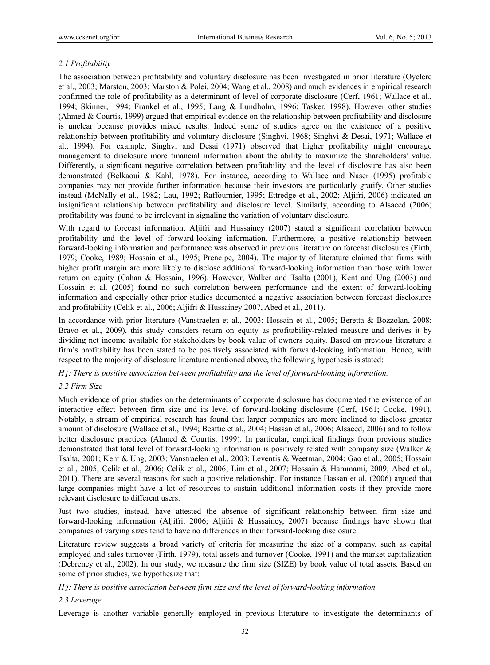### *2.1 Profitability*

The association between profitability and voluntary disclosure has been investigated in prior literature (Oyelere et al., 2003; Marston, 2003; Marston & Polei, 2004; Wang et al., 2008) and much evidences in empirical research confirmed the role of profitability as a determinant of level of corporate disclosure (Cerf, 1961; Wallace et al*.*, 1994; Skinner, 1994; Frankel et al., 1995; Lang & Lundholm, 1996; Tasker, 1998). However other studies (Ahmed & Courtis, 1999) argued that empirical evidence on the relationship between profitability and disclosure is unclear because provides mixed results. Indeed some of studies agree on the existence of a positive relationship between profitability and voluntary disclosure (Singhvi, 1968; Singhvi & Desai, 1971; Wallace et al., 1994). For example, Singhvi and Desai (1971) observed that higher profitability might encourage management to disclosure more financial information about the ability to maximize the shareholders' value. Differently, a significant negative correlation between profitability and the level of disclosure has also been demonstrated (Belkaoui & Kahl, 1978). For instance, according to Wallace and Naser (1995) profitable companies may not provide further information because their investors are particularly gratify. Other studies instead (McNally et al*.*, 1982; Lau, 1992; Raffournier, 1995; Ettredge et al*.*, 2002; Aljifri, 2006) indicated an insignificant relationship between profitability and disclosure level. Similarly, according to Alsaeed (2006) profitability was found to be irrelevant in signaling the variation of voluntary disclosure.

With regard to forecast information, Aljifri and Hussainey (2007) stated a significant correlation between profitability and the level of forward-looking information. Furthermore, a positive relationship between forward-looking information and performance was observed in previous literature on forecast disclosures (Firth, 1979; Cooke, 1989; Hossain et al., 1995; Prencipe, 2004). The majority of literature claimed that firms with higher profit margin are more likely to disclose additional forward-looking information than those with lower return on equity (Cahan & Hossain, 1996). However, Walker and Tsalta (2001), Kent and Ung (2003) and Hossain et al. (2005) found no such correlation between performance and the extent of forward-looking information and especially other prior studies documented a negative association between forecast disclosures and profitability (Celik et al., 2006; Aljifri & Hussainey 2007, Abed et al., 2011).

In accordance with prior literature (Vanstraelen et al., 2003; Hossain et al*.*, 2005; Beretta & Bozzolan, 2008; Bravo et al*.*, 2009), this study considers return on equity as profitability-related measure and derives it by dividing net income available for stakeholders by book value of owners equity. Based on previous literature a firm's profitability has been stated to be positively associated with forward-looking information. Hence, with respect to the majority of disclosure literature mentioned above, the following hypothesis is stated:

*H1: There is positive association between profitability and the level of forward-looking information.* 

#### *2.2 Firm Size*

Much evidence of prior studies on the determinants of corporate disclosure has documented the existence of an interactive effect between firm size and its level of forward-looking disclosure (Cerf, 1961; Cooke, 1991). Notably, a stream of empirical research has found that larger companies are more inclined to disclose greater amount of disclosure (Wallace et al*.*, 1994; Beattie et al., 2004; Hassan et al., 2006; Alsaeed, 2006) and to follow better disclosure practices (Ahmed & Courtis, 1999). In particular, empirical findings from previous studies demonstrated that total level of forward-looking information is positively related with company size (Walker & Tsalta, 2001; Kent & Ung, 2003; Vanstraelen et al., 2003; Leventis & Weetman, 2004; Gao et al*.*, 2005; Hossain et al., 2005; Celik et al., 2006; Celik et al., 2006; Lim et al*.*, 2007; Hossain & Hammami, 2009; Abed et al., 2011). There are several reasons for such a positive relationship. For instance Hassan et al. (2006) argued that large companies might have a lot of resources to sustain additional information costs if they provide more relevant disclosure to different users.

Just two studies, instead, have attested the absence of significant relationship between firm size and forward-looking information (Aljifri, 2006; Aljifri & Hussainey, 2007) because findings have shown that companies of varying sizes tend to have no differences in their forward-looking disclosure.

Literature review suggests a broad variety of criteria for measuring the size of a company, such as capital employed and sales turnover (Firth, 1979), total assets and turnover (Cooke, 1991) and the market capitalization (Debrency et al., 2002). In our study, we measure the firm size (SIZE) by book value of total assets. Based on some of prior studies, we hypothesize that:

#### *H2: There is positive association between firm size and the level of forward-looking information.*

*2.3 Leverage* 

Leverage is another variable generally employed in previous literature to investigate the determinants of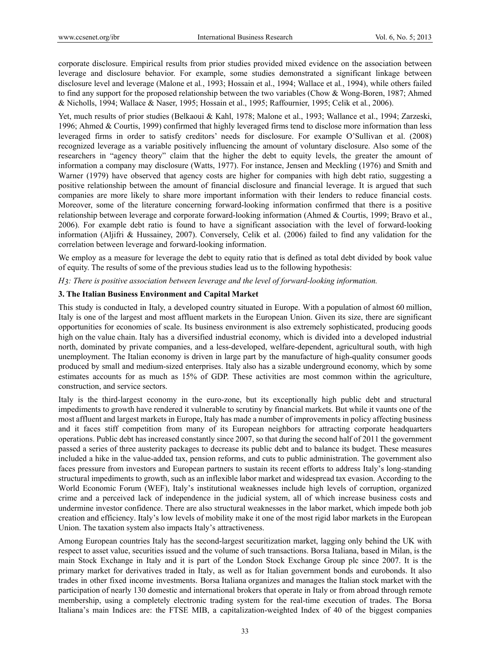corporate disclosure. Empirical results from prior studies provided mixed evidence on the association between leverage and disclosure behavior. For example, some studies demonstrated a significant linkage between disclosure level and leverage (Malone et al*.*, 1993; Hossain et al., 1994; Wallace et al*.*, 1994), while others failed to find any support for the proposed relationship between the two variables (Chow & Wong-Boren, 1987; Ahmed & Nicholls, 1994; Wallace & Naser, 1995; Hossain et al., 1995; Raffournier, 1995; Celik et al*.*, 2006).

Yet, much results of prior studies (Belkaoui & Kahl, 1978; Malone et al., 1993; Wallance et al., 1994; Zarzeski, 1996; Ahmed & Courtis, 1999) confirmed that highly leveraged firms tend to disclose more information than less leveraged firms in order to satisfy creditors' needs for disclosure. For example O'Sullivan et al. (2008) recognized leverage as a variable positively influencing the amount of voluntary disclosure. Also some of the researchers in "agency theory" claim that the higher the debt to equity levels, the greater the amount of information a company may disclosure (Watts, 1977). For instance, Jensen and Meckling (1976) and Smith and Warner (1979) have observed that agency costs are higher for companies with high debt ratio, suggesting a positive relationship between the amount of financial disclosure and financial leverage. It is argued that such companies are more likely to share more important information with their lenders to reduce financial costs. Moreover, some of the literature concerning forward-looking information confirmed that there is a positive relationship between leverage and corporate forward-looking information (Ahmed & Courtis, 1999; Bravo et al., 2006). For example debt ratio is found to have a significant association with the level of forward-looking information (Aljifri & Hussainey, 2007). Conversely, Celik et al. (2006) failed to find any validation for the correlation between leverage and forward-looking information.

We employ as a measure for leverage the debt to equity ratio that is defined as total debt divided by book value of equity. The results of some of the previous studies lead us to the following hypothesis:

*H3: There is positive association between leverage and the level of forward-looking information.* 

### **3. The Italian Business Environment and Capital Market**

This study is conducted in Italy, a developed country situated in Europe. With a population of almost 60 million, Italy is one of the largest and most affluent markets in the European Union. Given its size, there are significant opportunities for economies of scale. Its business environment is also extremely sophisticated, producing goods high on the value chain. Italy has a diversified industrial economy, which is divided into a developed industrial north, dominated by private companies, and a less-developed, welfare-dependent, agricultural south, with high unemployment. The Italian economy is driven in large part by the manufacture of high-quality consumer goods produced by small and medium-sized enterprises. Italy also has a sizable underground economy, which by some estimates accounts for as much as 15% of GDP. These activities are most common within the agriculture, construction, and service sectors.

Italy is the third-largest economy in the euro-zone, but its exceptionally high public debt and structural impediments to growth have rendered it vulnerable to scrutiny by financial markets. But while it vaunts one of the most affluent and largest markets in Europe, Italy has made a number of improvements in policy affecting business and it faces stiff competition from many of its European neighbors for attracting corporate headquarters operations. Public debt has increased constantly since 2007, so that during the second half of 2011 the government passed a series of three austerity packages to decrease its public debt and to balance its budget. These measures included a hike in the value-added tax, pension reforms, and cuts to public administration. The government also faces pressure from investors and European partners to sustain its recent efforts to address Italy's long-standing structural impediments to growth, such as an inflexible labor market and widespread tax evasion. According to the World Economic Forum (WEF), Italy's institutional weaknesses include high levels of corruption, organized crime and a perceived lack of independence in the judicial system, all of which increase business costs and undermine investor confidence. There are also structural weaknesses in the labor market, which impede both job creation and efficiency. Italy's low levels of mobility make it one of the most rigid labor markets in the European Union. The taxation system also impacts Italy's attractiveness.

Among European countries Italy has the second-largest securitization market, lagging only behind the UK with respect to asset value, securities issued and the volume of such transactions. Borsa Italiana, based in Milan, is the main Stock Exchange in Italy and it is part of the London Stock Exchange Group plc since 2007. It is the primary market for derivatives traded in Italy, as well as for Italian government bonds and eurobonds. It also trades in other fixed income investments. Borsa Italiana organizes and manages the Italian stock market with the participation of nearly 130 domestic and international brokers that operate in Italy or from abroad through remote membership, using a completely electronic trading system for the real-time execution of trades. The Borsa Italiana's main Indices are: the FTSE MIB, a capitalization-weighted Index of 40 of the biggest companies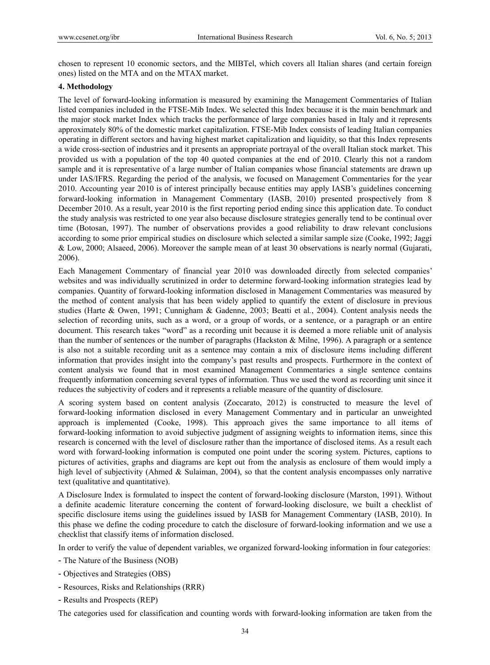chosen to represent 10 economic sectors, and the MIBTel, which covers all Italian shares (and certain foreign ones) listed on the MTA and on the MTAX market.

### **4. Methodology**

The level of forward-looking information is measured by examining the Management Commentaries of Italian listed companies included in the FTSE-Mib Index. We selected this Index because it is the main benchmark and the major stock market Index which tracks the performance of large companies based in Italy and it represents approximately 80% of the domestic market capitalization. FTSE-Mib Index consists of leading Italian companies operating in different sectors and having highest market capitalization and liquidity, so that this Index represents a wide cross-section of industries and it presents an appropriate portrayal of the overall Italian stock market. This provided us with a population of the top 40 quoted companies at the end of 2010. Clearly this not a random sample and it is representative of a large number of Italian companies whose financial statements are drawn up under IAS/IFRS. Regarding the period of the analysis, we focused on Management Commentaries for the year 2010. Accounting year 2010 is of interest principally because entities may apply IASB's guidelines concerning forward-looking information in Management Commentary (IASB, 2010) presented prospectively from 8 December 2010. As a result, year 2010 is the first reporting period ending since this application date. To conduct the study analysis was restricted to one year also because disclosure strategies generally tend to be continual over time (Botosan, 1997). The number of observations provides a good reliability to draw relevant conclusions according to some prior empirical studies on disclosure which selected a similar sample size (Cooke, 1992; Jaggi & Low, 2000; Alsaeed, 2006). Moreover the sample mean of at least 30 observations is nearly normal (Gujarati, 2006).

Each Management Commentary of financial year 2010 was downloaded directly from selected companies' websites and was individually scrutinized in order to determine forward-looking information strategies lead by companies. Quantity of forward-looking information disclosed in Management Commentaries was measured by the method of content analysis that has been widely applied to quantify the extent of disclosure in previous studies (Harte & Owen, 1991; Cunnigham & Gadenne, 2003; Beatti et al*.*, 2004). Content analysis needs the selection of recording units, such as a word, or a group of words, or a sentence, or a paragraph or an entire document. This research takes "word" as a recording unit because it is deemed a more reliable unit of analysis than the number of sentences or the number of paragraphs (Hackston & Milne, 1996). A paragraph or a sentence is also not a suitable recording unit as a sentence may contain a mix of disclosure items including different information that provides insight into the company's past results and prospects. Furthermore in the context of content analysis we found that in most examined Management Commentaries a single sentence contains frequently information concerning several types of information. Thus we used the word as recording unit since it reduces the subjectivity of coders and it represents a reliable measure of the quantity of disclosure.

A scoring system based on content analysis (Zoccarato, 2012) is constructed to measure the level of forward-looking information disclosed in every Management Commentary and in particular an unweighted approach is implemented (Cooke, 1998). This approach gives the same importance to all items of forward-looking information to avoid subjective judgment of assigning weights to information items, since this research is concerned with the level of disclosure rather than the importance of disclosed items. As a result each word with forward-looking information is computed one point under the scoring system. Pictures, captions to pictures of activities, graphs and diagrams are kept out from the analysis as enclosure of them would imply a high level of subjectivity (Ahmed & Sulaiman, 2004), so that the content analysis encompasses only narrative text (qualitative and quantitative).

A Disclosure Index is formulated to inspect the content of forward-looking disclosure (Marston, 1991). Without a definite academic literature concerning the content of forward-looking disclosure, we built a checklist of specific disclosure items using the guidelines issued by IASB for Management Commentary (IASB, 2010). In this phase we define the coding procedure to catch the disclosure of forward-looking information and we use a checklist that classify items of information disclosed.

In order to verify the value of dependent variables, we organized forward-looking information in four categories:

- The Nature of the Business (NOB)
- Objectives and Strategies (OBS)
- Resources, Risks and Relationships (RRR)
- Results and Prospects (REP)

The categories used for classification and counting words with forward-looking information are taken from the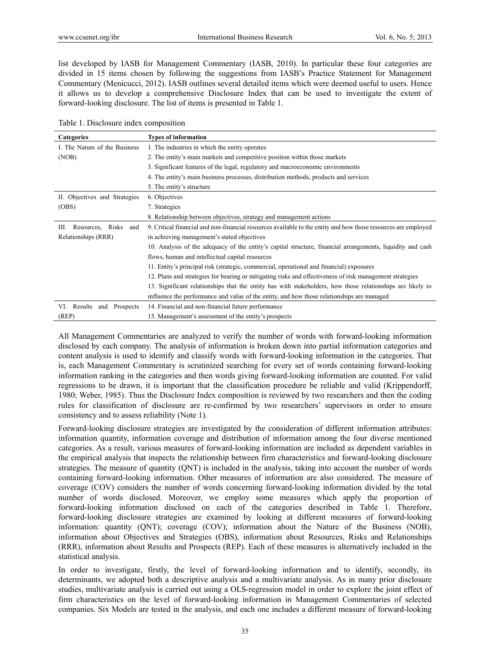list developed by IASB for Management Commentary (IASB, 2010). In particular these four categories are divided in 15 items chosen by following the suggestions from IASB's Practice Statement for Management Commentary (Menicucci, 2012). IASB outlines several detailed items which were deemed useful to users. Hence it allows us to develop a comprehensive Disclosure Index that can be used to investigate the extent of forward-looking disclosure. The list of items is presented in Table 1.

| <b>Categories</b>             | <b>Types of information</b>                                                                                    |
|-------------------------------|----------------------------------------------------------------------------------------------------------------|
| I. The Nature of the Business | 1. The industries in which the entity operates                                                                 |
| (NOB)                         | 2. The entity's main markets and competitive position within those markets                                     |
|                               | 3. Significant features of the legal, regulatory and macroeconomic environments                                |
|                               | 4. The entity's main business processes, distribution methods, products and services                           |
|                               | 5. The entity's structure                                                                                      |
| II. Objectives and Strategies | 6. Objectives                                                                                                  |
| (OBS)                         | 7. Strategies                                                                                                  |
|                               | 8. Relationship between objectives, strategy and management actions                                            |
| Ш.<br>Resources, Risks<br>and | 9. Critical financial and non-financial resources available to the entity and how those resources are employed |
| Relationships (RRR)           | in achieving management's stated objectives                                                                    |
|                               | 10. Analysis of the adequacy of the entity's capital structure, financial arrangements, liquidity and cash     |
|                               | flows, human and intellectual capital resources                                                                |
|                               | 11. Entity's principal risk (strategic, commercial, operational and financial) exposures                       |
|                               | 12. Plans and strategies for bearing or mitigating risks and effectiveness of risk management strategies       |
|                               | 13. Significant relationships that the entity has with stakeholders, how those relationships are likely to     |
|                               | influence the performance and value of the entity, and how those relationships are managed                     |
| VI. Results<br>and Prospects  | 14. Financial and non-financial future performance                                                             |
| (REP)                         | 15. Management's assessment of the entity's prospects                                                          |

Table 1. Disclosure index composition

All Management Commentaries are analyzed to verify the number of words with forward-looking information disclosed by each company. The analysis of information is broken down into partial information categories and content analysis is used to identify and classify words with forward-looking information in the categories. That is, each Management Commentary is scrutinized searching for every set of words containing forward-looking information ranking in the categories and then words giving forward-looking information are counted. For valid regressions to be drawn, it is important that the classification procedure be reliable and valid (Krippendorff, 1980; Weber, 1985). Thus the Disclosure Index composition is reviewed by two researchers and then the coding rules for classification of disclosure are re-confirmed by two researchers' supervisors in order to ensure consistency and to assess reliability (Note 1).

Forward-looking disclosure strategies are investigated by the consideration of different information attributes: information quantity, information coverage and distribution of information among the four diverse mentioned categories. As a result, various measures of forward-looking information are included as dependent variables in the empirical analysis that inspects the relationship between firm characteristics and forward-looking disclosure strategies. The measure of quantity (QNT) is included in the analysis, taking into account the number of words containing forward-looking information. Other measures of information are also considered. The measure of coverage (COV) considers the number of words concerning forward-looking information divided by the total number of words disclosed. Moreover, we employ some measures which apply the proportion of forward-looking information disclosed on each of the categories described in Table 1. Therefore, forward-looking disclosure strategies are examined by looking at different measures of forward-looking information: quantity (QNT); coverage (COV); information about the Nature of the Business (NOB), information about Objectives and Strategies (OBS), information about Resources, Risks and Relationships (RRR), information about Results and Prospects (REP). Each of these measures is alternatively included in the statistical analysis.

In order to investigate, firstly, the level of forward-looking information and to identify, secondly, its determinants, we adopted both a descriptive analysis and a multivariate analysis. As in many prior disclosure studies, multivariate analysis is carried out using a OLS-regression model in order to explore the joint effect of firm characteristics on the level of forward-looking information in Management Commentaries of selected companies. Six Models are tested in the analysis, and each one includes a different measure of forward-looking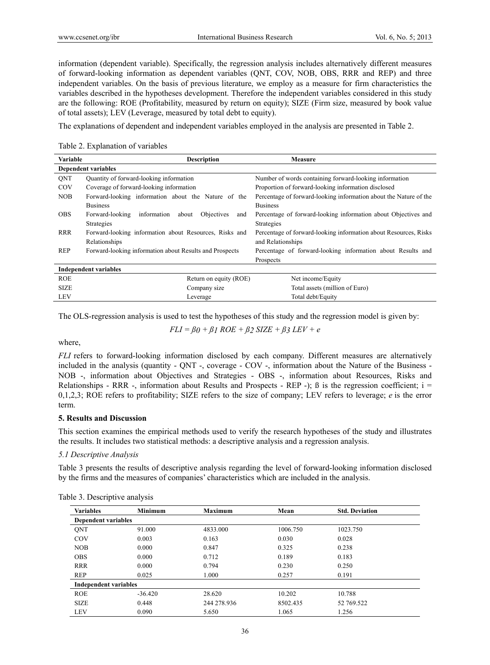information (dependent variable). Specifically, the regression analysis includes alternatively different measures of forward-looking information as dependent variables (QNT, COV, NOB, OBS, RRR and REP) and three independent variables. On the basis of previous literature, we employ as a measure for firm characteristics the variables described in the hypotheses development. Therefore the independent variables considered in this study are the following: ROE (Profitability, measured by return on equity); SIZE (Firm size, measured by book value of total assets); LEV (Leverage, measured by total debt to equity).

The explanations of dependent and independent variables employed in the analysis are presented in Table 2.

Table 2. Explanation of variables

| Variable                     | <b>Description</b>                                           | <b>Measure</b>                                                    |  |  |  |
|------------------------------|--------------------------------------------------------------|-------------------------------------------------------------------|--|--|--|
| <b>Dependent variables</b>   |                                                              |                                                                   |  |  |  |
| <b>ONT</b>                   | Quantity of forward-looking information                      | Number of words containing forward-looking information            |  |  |  |
| COV                          | Coverage of forward-looking information                      | Proportion of forward-looking information disclosed               |  |  |  |
| NOB                          | Forward-looking information about the Nature of the          | Percentage of forward-looking information about the Nature of the |  |  |  |
|                              | <b>Business</b>                                              | <b>Business</b>                                                   |  |  |  |
| <b>OBS</b>                   | information<br>Objectives<br>Forward-looking<br>about<br>and | Percentage of forward-looking information about Objectives and    |  |  |  |
|                              | Strategies                                                   | Strategies                                                        |  |  |  |
| <b>RRR</b>                   | Forward-looking information about Resources, Risks and       | Percentage of forward-looking information about Resources, Risks  |  |  |  |
|                              | Relationships                                                | and Relationships                                                 |  |  |  |
| <b>REP</b>                   | Forward-looking information about Results and Prospects      | Percentage of forward-looking information about Results and       |  |  |  |
|                              |                                                              | Prospects                                                         |  |  |  |
| <b>Independent variables</b> |                                                              |                                                                   |  |  |  |
| <b>ROE</b>                   | Return on equity (ROE)                                       | Net income/Equity                                                 |  |  |  |
| <b>SIZE</b>                  | Company size                                                 | Total assets (million of Euro)                                    |  |  |  |
| <b>LEV</b>                   | Leverage                                                     | Total debt/Equity                                                 |  |  |  |

The OLS-regression analysis is used to test the hypotheses of this study and the regression model is given by:

 $FLI = \beta_0 + \beta_1 ROE + \beta_2 SLE + \beta_3 LEV + e$ 

where,

*FLI* refers to forward-looking information disclosed by each company. Different measures are alternatively included in the analysis (quantity - QNT -, coverage - COV -, information about the Nature of the Business - NOB -, information about Objectives and Strategies - OBS -, information about Resources, Risks and Relationships - RRR -, information about Results and Prospects - REP -);  $\beta$  is the regression coefficient;  $i =$ 0,1,2,3; ROE refers to profitability; SIZE refers to the size of company; LEV refers to leverage; *e* is the error term.

### **5. Results and Discussion**

This section examines the empirical methods used to verify the research hypotheses of the study and illustrates the results. It includes two statistical methods: a descriptive analysis and a regression analysis.

#### *5.1 Descriptive Analysis*

Table 3 presents the results of descriptive analysis regarding the level of forward-looking information disclosed by the firms and the measures of companies' characteristics which are included in the analysis.

| л.                           |                            |                |          |                       |  |  |  |  |
|------------------------------|----------------------------|----------------|----------|-----------------------|--|--|--|--|
| <b>Variables</b>             | <b>Minimum</b>             | <b>Maximum</b> | Mean     | <b>Std. Deviation</b> |  |  |  |  |
|                              | <b>Dependent variables</b> |                |          |                       |  |  |  |  |
| QNT                          | 91.000                     | 4833.000       | 1006.750 | 1023.750              |  |  |  |  |
| COV                          | 0.003                      | 0.163          | 0.030    | 0.028                 |  |  |  |  |
| <b>NOB</b>                   | 0.000                      | 0.847          | 0.325    | 0.238                 |  |  |  |  |
| <b>OBS</b>                   | 0.000                      | 0.712          | 0.189    | 0.183                 |  |  |  |  |
| <b>RRR</b>                   | 0.000                      | 0.794          | 0.230    | 0.250                 |  |  |  |  |
| <b>REP</b>                   | 0.025                      | 1.000          | 0.257    | 0.191                 |  |  |  |  |
| <b>Independent variables</b> |                            |                |          |                       |  |  |  |  |
| <b>ROE</b>                   | $-36.420$                  | 28.620         | 10.202   | 10.788                |  |  |  |  |
| <b>SIZE</b>                  | 0.448                      | 244 278.936    | 8502.435 | 52 769.522            |  |  |  |  |
| <b>LEV</b>                   | 0.090                      | 5.650          | 1.065    | 1.256                 |  |  |  |  |

Table 3. Descriptive analysis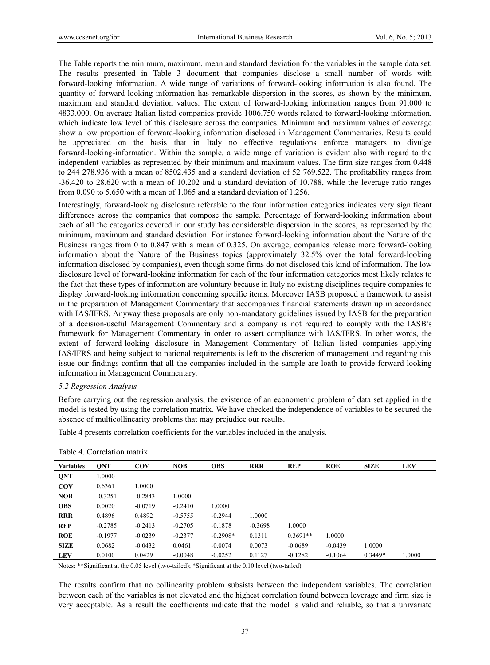The Table reports the minimum, maximum, mean and standard deviation for the variables in the sample data set. The results presented in Table 3 document that companies disclose a small number of words with forward-looking information. A wide range of variations of forward-looking information is also found. The quantity of forward-looking information has remarkable dispersion in the scores, as shown by the minimum, maximum and standard deviation values. The extent of forward-looking information ranges from 91.000 to 4833.000. On average Italian listed companies provide 1006.750 words related to forward-looking information, which indicate low level of this disclosure across the companies. Minimum and maximum values of coverage show a low proportion of forward-looking information disclosed in Management Commentaries. Results could be appreciated on the basis that in Italy no effective regulations enforce managers to divulge forward-looking-information. Within the sample, a wide range of variation is evident also with regard to the independent variables as represented by their minimum and maximum values. The firm size ranges from 0.448 to 244 278.936 with a mean of 8502.435 and a standard deviation of 52 769.522. The profitability ranges from -36.420 to 28.620 with a mean of 10.202 and a standard deviation of 10.788, while the leverage ratio ranges from 0.090 to 5.650 with a mean of 1.065 and a standard deviation of 1.256.

Interestingly, forward-looking disclosure referable to the four information categories indicates very significant differences across the companies that compose the sample. Percentage of forward-looking information about each of all the categories covered in our study has considerable dispersion in the scores, as represented by the minimum, maximum and standard deviation. For instance forward-looking information about the Nature of the Business ranges from 0 to 0.847 with a mean of 0.325. On average, companies release more forward-looking information about the Nature of the Business topics (approximately 32.5% over the total forward-looking information disclosed by companies), even though some firms do not disclosed this kind of information. The low disclosure level of forward-looking information for each of the four information categories most likely relates to the fact that these types of information are voluntary because in Italy no existing disciplines require companies to display forward-looking information concerning specific items. Moreover IASB proposed a framework to assist in the preparation of Management Commentary that accompanies financial statements drawn up in accordance with IAS/IFRS. Anyway these proposals are only non-mandatory guidelines issued by IASB for the preparation of a decision-useful Management Commentary and a company is not required to comply with the IASB's framework for Management Commentary in order to assert compliance with IAS/IFRS. In other words, the extent of forward-looking disclosure in Management Commentary of Italian listed companies applying IAS/IFRS and being subject to national requirements is left to the discretion of management and regarding this issue our findings confirm that all the companies included in the sample are loath to provide forward-looking information in Management Commentary.

#### *5.2 Regression Analysis*

Before carrying out the regression analysis, the existence of an econometric problem of data set applied in the model is tested by using the correlation matrix. We have checked the independence of variables to be secured the absence of multicollinearity problems that may prejudice our results.

Table 4 presents correlation coefficients for the variables included in the analysis.

| <b>Variables</b> | <b>ONT</b> | <b>COV</b> | <b>NOB</b> | <b>OBS</b> | <b>RRR</b> | <b>REP</b> | <b>ROE</b> | <b>SIZE</b> | <b>LEV</b> |
|------------------|------------|------------|------------|------------|------------|------------|------------|-------------|------------|
| <b>ONT</b>       | 1.0000     |            |            |            |            |            |            |             |            |
| <b>COV</b>       | 0.6361     | 1.0000     |            |            |            |            |            |             |            |
| <b>NOB</b>       | $-0.3251$  | $-0.2843$  | 1.0000     |            |            |            |            |             |            |
| <b>OBS</b>       | 0.0020     | $-0.0719$  | $-0.2410$  | 1.0000     |            |            |            |             |            |
| <b>RRR</b>       | 0.4896     | 0.4892     | $-0.5755$  | $-0.2944$  | 1.0000     |            |            |             |            |
| <b>REP</b>       | $-0.2785$  | $-0.2413$  | $-0.2705$  | $-0.1878$  | $-0.3698$  | 1.0000     |            |             |            |
| <b>ROE</b>       | $-0.1977$  | $-0.0239$  | $-0.2377$  | $-0.2908*$ | 0.1311     | $0.3691**$ | 1.0000     |             |            |
| <b>SIZE</b>      | 0.0682     | $-0.0432$  | 0.0461     | $-0.0074$  | 0.0073     | $-0.0689$  | $-0.0439$  | 1.0000      |            |
| <b>LEV</b>       | 0.0100     | 0.0429     | $-0.0048$  | $-0.0252$  | 0.1127     | $-0.1282$  | $-0.1064$  | $0.3449*$   | 1.0000     |

Table 4. Correlation matrix

Notes: \*\*Significant at the 0.05 level (two-tailed); \*Significant at the 0.10 level (two-tailed).

The results confirm that no collinearity problem subsists between the independent variables. The correlation between each of the variables is not elevated and the highest correlation found between leverage and firm size is very acceptable. As a result the coefficients indicate that the model is valid and reliable, so that a univariate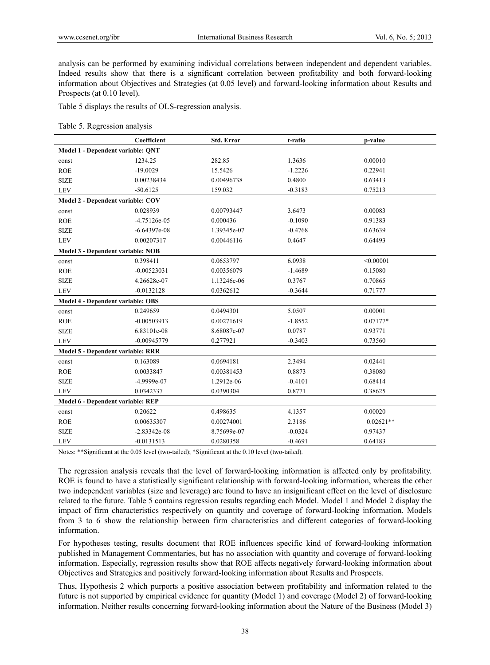analysis can be performed by examining individual correlations between independent and dependent variables. Indeed results show that there is a significant correlation between profitability and both forward-looking information about Objectives and Strategies (at 0.05 level) and forward-looking information about Results and Prospects (at 0.10 level).

Table 5 displays the results of OLS-regression analysis.

Table 5. Regression analysis

|                                          | Coefficient    | <b>Std. Error</b> | t-ratio   | p-value     |  |  |
|------------------------------------------|----------------|-------------------|-----------|-------------|--|--|
| Model 1 - Dependent variable: QNT        |                |                   |           |             |  |  |
| const                                    | 1234.25        | 282.85            | 1.3636    | 0.00010     |  |  |
| <b>ROE</b>                               | $-19.0029$     | 15.5426           | $-1.2226$ | 0.22941     |  |  |
| <b>SIZE</b>                              | 0.00238434     | 0.00496738        | 0.4800    | 0.63413     |  |  |
| <b>LEV</b>                               | $-50.6125$     | 159.032           | $-0.3183$ | 0.75213     |  |  |
| Model 2 - Dependent variable: COV        |                |                   |           |             |  |  |
| const                                    | 0.028939       | 0.00793447        | 3.6473    | 0.00083     |  |  |
| <b>ROE</b>                               | $-4.75126e-05$ | 0.000436          | $-0.1090$ | 0.91383     |  |  |
| <b>SIZE</b>                              | $-6.64397e-08$ | 1.39345e-07       | $-0.4768$ | 0.63639     |  |  |
| <b>LEV</b>                               | 0.00207317     | 0.00446116        | 0.4647    | 0.64493     |  |  |
| Model 3 - Dependent variable: NOB        |                |                   |           |             |  |  |
| const                                    | 0.398411       | 0.0653797         | 6.0938    | < 0.00001   |  |  |
| <b>ROE</b>                               | $-0.00523031$  | 0.00356079        | $-1.4689$ | 0.15080     |  |  |
| <b>SIZE</b>                              | 4.26628e-07    | 1.13246e-06       | 0.3767    | 0.70865     |  |  |
| <b>LEV</b>                               | $-0.0132128$   | 0.0362612         | $-0.3644$ | 0.71777     |  |  |
| Model 4 - Dependent variable: OBS        |                |                   |           |             |  |  |
| const                                    | 0.249659       | 0.0494301         | 5.0507    | 0.00001     |  |  |
| <b>ROE</b>                               | $-0.00503913$  | 0.00271619        | $-1.8552$ | $0.07177*$  |  |  |
| <b>SIZE</b>                              | 6.83101e-08    | 8.68087e-07       | 0.0787    | 0.93771     |  |  |
| <b>LEV</b>                               | $-0.00945779$  | 0.277921          | $-0.3403$ | 0.73560     |  |  |
| Model 5 - Dependent variable: RRR        |                |                   |           |             |  |  |
| const                                    | 0.163089       | 0.0694181         | 2.3494    | 0.02441     |  |  |
| <b>ROE</b>                               | 0.0033847      | 0.00381453        | 0.8873    | 0.38080     |  |  |
| <b>SIZE</b>                              | -4.9999e-07    | 1.2912e-06        | $-0.4101$ | 0.68414     |  |  |
| <b>LEV</b>                               | 0.0342337      | 0.0390304         | 0.8771    | 0.38625     |  |  |
| <b>Model 6 - Dependent variable: REP</b> |                |                   |           |             |  |  |
| const                                    | 0.20622        | 0.498635          | 4.1357    | 0.00020     |  |  |
| <b>ROE</b>                               | 0.00635307     | 0.00274001        | 2.3186    | $0.02621**$ |  |  |
| <b>SIZE</b>                              | $-2.83342e-08$ | 8.75699e-07       | $-0.0324$ | 0.97437     |  |  |
| <b>LEV</b>                               | $-0.0131513$   | 0.0280358         | $-0.4691$ | 0.64183     |  |  |

Notes: \*\*Significant at the 0.05 level (two-tailed); \*Significant at the 0.10 level (two-tailed).

The regression analysis reveals that the level of forward-looking information is affected only by profitability. ROE is found to have a statistically significant relationship with forward-looking information, whereas the other two independent variables (size and leverage) are found to have an insignificant effect on the level of disclosure related to the future. Table 5 contains regression results regarding each Model. Model 1 and Model 2 display the impact of firm characteristics respectively on quantity and coverage of forward-looking information. Models from 3 to 6 show the relationship between firm characteristics and different categories of forward-looking information.

For hypotheses testing, results document that ROE influences specific kind of forward-looking information published in Management Commentaries, but has no association with quantity and coverage of forward-looking information. Especially, regression results show that ROE affects negatively forward-looking information about Objectives and Strategies and positively forward-looking information about Results and Prospects.

Thus, Hypothesis 2 which purports a positive association between profitability and information related to the future is not supported by empirical evidence for quantity (Model 1) and coverage (Model 2) of forward-looking information. Neither results concerning forward-looking information about the Nature of the Business (Model 3)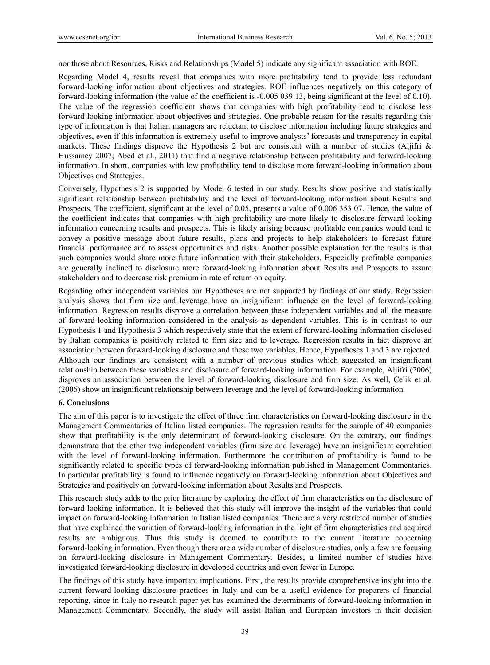nor those about Resources, Risks and Relationships (Model 5) indicate any significant association with ROE.

Regarding Model 4, results reveal that companies with more profitability tend to provide less redundant forward-looking information about objectives and strategies. ROE influences negatively on this category of forward-looking information (the value of the coefficient is -0.005 039 13, being significant at the level of 0.10). The value of the regression coefficient shows that companies with high profitability tend to disclose less forward-looking information about objectives and strategies. One probable reason for the results regarding this type of information is that Italian managers are reluctant to disclose information including future strategies and objectives, even if this information is extremely useful to improve analysts' forecasts and transparency in capital markets. These findings disprove the Hypothesis 2 but are consistent with a number of studies (Aljifri  $\&$ Hussainey 2007; Abed et al., 2011) that find a negative relationship between profitability and forward-looking information. In short, companies with low profitability tend to disclose more forward-looking information about Objectives and Strategies.

Conversely, Hypothesis 2 is supported by Model 6 tested in our study. Results show positive and statistically significant relationship between profitability and the level of forward-looking information about Results and Prospects. The coefficient, significant at the level of 0.05, presents a value of 0.006 353 07. Hence, the value of the coefficient indicates that companies with high profitability are more likely to disclosure forward-looking information concerning results and prospects. This is likely arising because profitable companies would tend to convey a positive message about future results, plans and projects to help stakeholders to forecast future financial performance and to assess opportunities and risks. Another possible explanation for the results is that such companies would share more future information with their stakeholders. Especially profitable companies are generally inclined to disclosure more forward-looking information about Results and Prospects to assure stakeholders and to decrease risk premium in rate of return on equity.

Regarding other independent variables our Hypotheses are not supported by findings of our study. Regression analysis shows that firm size and leverage have an insignificant influence on the level of forward-looking information. Regression results disprove a correlation between these independent variables and all the measure of forward-looking information considered in the analysis as dependent variables. This is in contrast to our Hypothesis 1 and Hypothesis 3 which respectively state that the extent of forward-looking information disclosed by Italian companies is positively related to firm size and to leverage. Regression results in fact disprove an association between forward-looking disclosure and these two variables. Hence, Hypotheses 1 and 3 are rejected. Although our findings are consistent with a number of previous studies which suggested an insignificant relationship between these variables and disclosure of forward-looking information. For example, Aljifri (2006) disproves an association between the level of forward-looking disclosure and firm size. As well, Celik et al. (2006) show an insignificant relationship between leverage and the level of forward-looking information.

#### **6. Conclusions**

The aim of this paper is to investigate the effect of three firm characteristics on forward-looking disclosure in the Management Commentaries of Italian listed companies. The regression results for the sample of 40 companies show that profitability is the only determinant of forward-looking disclosure. On the contrary, our findings demonstrate that the other two independent variables (firm size and leverage) have an insignificant correlation with the level of forward-looking information. Furthermore the contribution of profitability is found to be significantly related to specific types of forward-looking information published in Management Commentaries. In particular profitability is found to influence negatively on forward-looking information about Objectives and Strategies and positively on forward-looking information about Results and Prospects.

This research study adds to the prior literature by exploring the effect of firm characteristics on the disclosure of forward-looking information. It is believed that this study will improve the insight of the variables that could impact on forward-looking information in Italian listed companies. There are a very restricted number of studies that have explained the variation of forward-looking information in the light of firm characteristics and acquired results are ambiguous. Thus this study is deemed to contribute to the current literature concerning forward-looking information. Even though there are a wide number of disclosure studies, only a few are focusing on forward-looking disclosure in Management Commentary. Besides, a limited number of studies have investigated forward-looking disclosure in developed countries and even fewer in Europe.

The findings of this study have important implications. First, the results provide comprehensive insight into the current forward-looking disclosure practices in Italy and can be a useful evidence for preparers of financial reporting, since in Italy no research paper yet has examined the determinants of forward-looking information in Management Commentary. Secondly, the study will assist Italian and European investors in their decision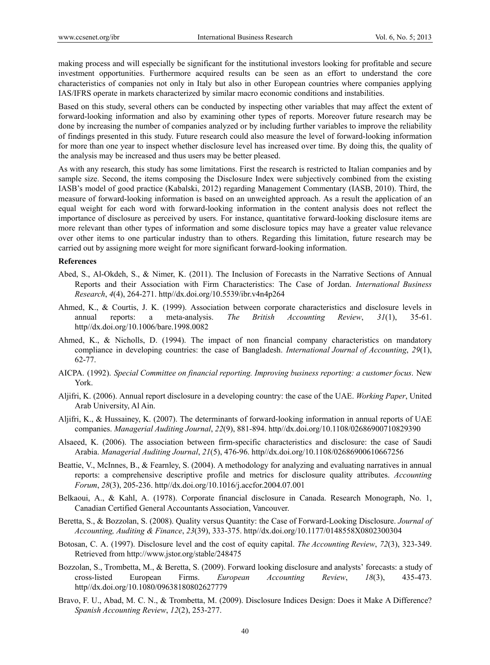making process and will especially be significant for the institutional investors looking for profitable and secure investment opportunities. Furthermore acquired results can be seen as an effort to understand the core characteristics of companies not only in Italy but also in other European countries where companies applying IAS/IFRS operate in markets characterized by similar macro economic conditions and instabilities.

Based on this study, several others can be conducted by inspecting other variables that may affect the extent of forward-looking information and also by examining other types of reports. Moreover future research may be done by increasing the number of companies analyzed or by including further variables to improve the reliability of findings presented in this study. Future research could also measure the level of forward-looking information for more than one year to inspect whether disclosure level has increased over time. By doing this, the quality of the analysis may be increased and thus users may be better pleased.

As with any research, this study has some limitations. First the research is restricted to Italian companies and by sample size. Second, the items composing the Disclosure Index were subjectively combined from the existing IASB's model of good practice (Kabalski, 2012) regarding Management Commentary (IASB, 2010). Third, the measure of forward-looking information is based on an unweighted approach. As a result the application of an equal weight for each word with forward-looking information in the content analysis does not reflect the importance of disclosure as perceived by users. For instance, quantitative forward-looking disclosure items are more relevant than other types of information and some disclosure topics may have a greater value relevance over other items to one particular industry than to others. Regarding this limitation, future research may be carried out by assigning more weight for more significant forward-looking information.

#### **References**

- Abed, S., Al-Okdeh, S., & Nimer, K. (2011). The Inclusion of Forecasts in the Narrative Sections of Annual Reports and their Association with Firm Characteristics: The Case of Jordan. *International Business Research*, *4*(4), 264-271. http//dx.doi.org/10.5539/ibr.v4n4p264
- Ahmed, K., & Courtis, J. K. (1999). Association between corporate characteristics and disclosure levels in annual reports: a meta-analysis. *The British Accounting Review*, *31*(1), 35-61. http//dx.doi.org/10.1006/bare.1998.0082
- Ahmed, K., & Nicholls, D. (1994). The impact of non financial company characteristics on mandatory compliance in developing countries: the case of Bangladesh. *International Journal of Accounting*, *29*(1), 62-77.
- AICPA. (1992). *Special Committee on financial reporting. Improving business reporting: a customer focus*. New York.
- Aljifri, K. (2006). Annual report disclosure in a developing country: the case of the UAE. *Working Paper*, United Arab University, Al Ain.
- Aljifri, K., & Hussainey, K. (2007). The determinants of forward-looking information in annual reports of UAE companies. *Managerial Auditing Journal*, *22*(9), 881-894. http//dx.doi.org/10.1108/02686900710829390
- Alsaeed, K. (2006). The association between firm-specific characteristics and disclosure: the case of Saudi Arabia. *Managerial Auditing Journal*, *21*(5), 476-96. http//dx.doi.org/10.1108/02686900610667256
- Beattie, V., McInnes, B., & Fearnley, S. (2004). A methodology for analyzing and evaluating narratives in annual reports: a comprehensive descriptive profile and metrics for disclosure quality attributes. *Accounting Forum*, *28*(3), 205-236. http//dx.doi.org/10.1016/j.accfor.2004.07.001
- Belkaoui, A., & Kahl, A. (1978). Corporate financial disclosure in Canada. Research Monograph, No. 1, Canadian Certified General Accountants Association, Vancouver.
- Beretta, S., & Bozzolan, S. (2008). Quality versus Quantity: the Case of Forward-Looking Disclosure. *Journal of Accounting, Auditing & Finance*, *23*(39), 333-375. http//dx.doi.org/10.1177/0148558X0802300304
- Botosan, C. A. (1997). Disclosure level and the cost of equity capital. *The Accounting Review*, *72*(3), 323-349. Retrieved from http://www.jstor.org/stable/248475
- Bozzolan, S., Trombetta, M., & Beretta, S. (2009). Forward looking disclosure and analysts' forecasts: a study of cross-listed European Firms. *European Accounting Review*, *18*(3), 435-473. http//dx.doi.org/10.1080/09638180802627779
- Bravo, F. U., Abad, M. C. N., & Trombetta, M. (2009). Disclosure Indices Design: Does it Make A Difference? *Spanish Accounting Review*, *12*(2), 253-277.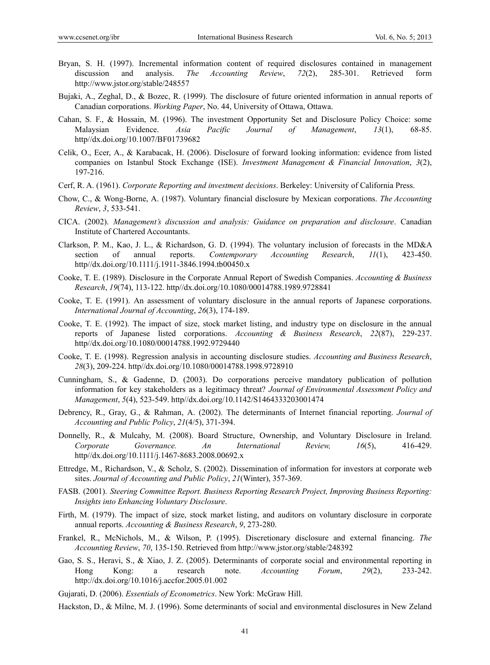- Bryan, S. H. (1997). Incremental information content of required disclosures contained in management discussion and analysis. *The Accounting Review*, *72*(2), 285-301. Retrieved form http://www.jstor.org/stable/248557
- Bujaki, A., Zeghal, D., & Bozec, R. (1999). The disclosure of future oriented information in annual reports of Canadian corporations. *Working Paper*, No. 44, University of Ottawa, Ottawa.
- Cahan, S. F., & Hossain, M. (1996). The investment Opportunity Set and Disclosure Policy Choice: some Malaysian Evidence. *Asia Pacific Journal of Management*, *13*(1), 68-85. http//dx.doi.org/10.1007/BF01739682
- Celik, O., Ecer, A., & Karabacak, H. (2006). Disclosure of forward looking information: evidence from listed companies on Istanbul Stock Exchange (ISE). *Investment Management & Financial Innovation*, *3*(2), 197-216.
- Cerf, R. A. (1961). *Corporate Reporting and investment decisions*. Berkeley: University of California Press.
- Chow, C., & Wong-Borne, A. (1987). Voluntary financial disclosure by Mexican corporations. *The Accounting Review*, *3*, 533-541.
- CICA. (2002). *Management's discussion and analysis: Guidance on preparation and disclosure*. Canadian Institute of Chartered Accountants.
- Clarkson, P. M., Kao, J. L., & Richardson, G. D. (1994). The voluntary inclusion of forecasts in the MD&A section of annual reports. *Contemporary Accounting Research*, *11*(1), 423-450. http//dx.doi.org/10.1111/j.1911-3846.1994.tb00450.x
- Cooke, T. E. (1989). Disclosure in the Corporate Annual Report of Swedish Companies. *Accounting & Business Research*, *19*(74), 113-122. http//dx.doi.org/10.1080/00014788.1989.9728841
- Cooke, T. E. (1991). An assessment of voluntary disclosure in the annual reports of Japanese corporations. *International Journal of Accounting*, *26*(3), 174-189.
- Cooke, T. E. (1992). The impact of size, stock market listing, and industry type on disclosure in the annual reports of Japanese listed corporations. *Accounting & Business Research*, *22*(87), 229-237. http//dx.doi.org/10.1080/00014788.1992.9729440
- Cooke, T. E. (1998). Regression analysis in accounting disclosure studies. *Accounting and Business Research*, *28*(3), 209-224. http//dx.doi.org/10.1080/00014788.1998.9728910
- Cunningham, S., & Gadenne, D. (2003). Do corporations perceive mandatory publication of pollution information for key stakeholders as a legitimacy threat? *Journal of Environmental Assessment Policy and Management*, *5*(4), 523-549. http//dx.doi.org/10.1142/S1464333203001474
- Debrency, R., Gray, G., & Rahman, A. (2002). The determinants of Internet financial reporting. *Journal of Accounting and Public Policy*, *21*(4/5), 371-394.
- Donnelly, R., & Mulcahy, M. (2008). Board Structure, Ownership, and Voluntary Disclosure in Ireland. *Corporate Governance. An International Review, 16*(5), 416-429. http//dx.doi.org/10.1111/j.1467-8683.2008.00692.x
- Ettredge, M., Richardson, V., & Scholz, S. (2002). Dissemination of information for investors at corporate web sites. *Journal of Accounting and Public Policy*, *21*(Winter), 357-369.
- FASB. (2001). *Steering Committee Report. Business Reporting Research Project, Improving Business Reporting: Insights into Enhancing Voluntary Disclosure*.
- Firth, M. (1979). The impact of size, stock market listing, and auditors on voluntary disclosure in corporate annual reports. *Accounting & Business Research*, *9*, 273-280.
- Frankel, R., McNichols, M., & Wilson, P. (1995). Discretionary disclosure and external financing. *The Accounting Review*, *70*, 135-150. Retrieved from http://www.jstor.org/stable/248392
- Gao, S. S., Heravi, S., & Xiao, J. Z. (2005). Determinants of corporate social and environmental reporting in Hong Kong: a research note. *Accounting Forum*, *29*(2), 233-242. http://dx.doi.org/10.1016/j.accfor.2005.01.002
- Gujarati, D. (2006). *Essentials of Econometrics*. New York: McGraw Hill.
- Hackston, D., & Milne, M. J. (1996). Some determinants of social and environmental disclosures in New Zeland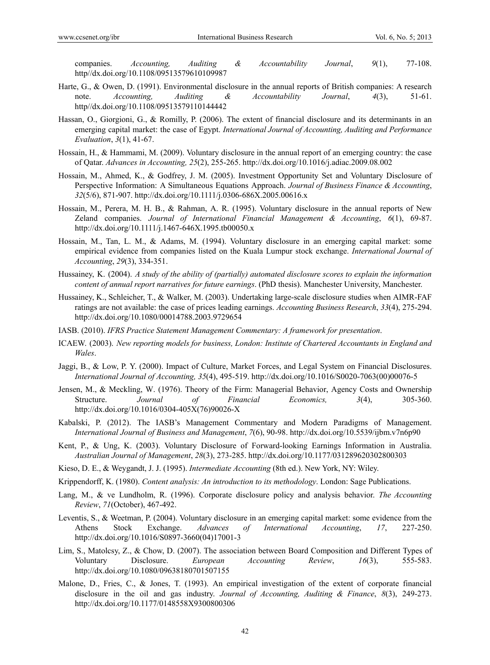companies. *Accounting, Auditing & Accountability Journal*, *9*(1), 77-108. http//dx.doi.org/10.1108/09513579610109987

- Harte, G., & Owen, D. (1991). Environmental disclosure in the annual reports of British companies: A research note. *Accounting, Auditing & Accountability Journal*, *4*(3), 51-61. http//dx.doi.org/10.1108/09513579110144442
- Hassan, O., Giorgioni, G., & Romilly, P. (2006). The extent of financial disclosure and its determinants in an emerging capital market: the case of Egypt. *International Journal of Accounting, Auditing and Performance Evaluation*, *3*(1), 41-67.
- Hossain, H., & Hammami, M. (2009). Voluntary disclosure in the annual report of an emerging country: the case of Qatar. *Advances in Accounting, 25*(2), 255-265. http://dx.doi.org/10.1016/j.adiac.2009.08.002
- Hossain, M., Ahmed, K., & Godfrey, J. M. (2005). Investment Opportunity Set and Voluntary Disclosure of Perspective Information: A Simultaneous Equations Approach. *Journal of Business Finance & Accounting*, *32*(5/6), 871-907. http://dx.doi.org/10.1111/j.0306-686X.2005.00616.x
- Hossain, M., Perera, M. H. B., & Rahman, A. R. (1995). Voluntary disclosure in the annual reports of New Zeland companies. *Journal of International Financial Management & Accounting*, *6*(1), 69-87. http://dx.doi.org/10.1111/j.1467-646X.1995.tb00050.x
- Hossain, M., Tan, L. M., & Adams, M. (1994). Voluntary disclosure in an emerging capital market: some empirical evidence from companies listed on the Kuala Lumpur stock exchange. *International Journal of Accounting*, *29*(3), 334-351.
- Hussainey, K. (2004). *A study of the ability of (partially) automated disclosure scores to explain the information content of annual report narratives for future earnings*. (PhD thesis). Manchester University, Manchester.
- Hussainey, K., Schleicher, T., & Walker, M. (2003). Undertaking large-scale disclosure studies when AIMR-FAF ratings are not available: the case of prices leading earnings. *Accounting Business Research*, *33*(4), 275-294. http://dx.doi.org/10.1080/00014788.2003.9729654
- IASB. (2010). *IFRS Practice Statement Management Commentary: A framework for presentation*.
- ICAEW. (2003). *New reporting models for business, London: Institute of Chartered Accountants in England and Wales*.
- Jaggi, B., & Low, P. Y. (2000). Impact of Culture, Market Forces, and Legal System on Financial Disclosures. *International Journal of Accounting, 35*(4), 495-519. http://dx.doi.org/10.1016/S0020-7063(00)00076-5
- Jensen, M., & Meckling, W. (1976). Theory of the Firm: Managerial Behavior, Agency Costs and Ownership Structure. *Journal of Financial Economics, 3*(4), 305-360. http://dx.doi.org/10.1016/0304-405X(76)90026-X
- Kabalski, P. (2012). The IASB's Management Commentary and Modern Paradigms of Management. *International Journal of Business and Management*, *7*(6), 90-98. http://dx.doi.org/10.5539/ijbm.v7n6p90
- Kent, P., & Ung, K. (2003). Voluntary Disclosure of Forward-looking Earnings Information in Australia. *Australian Journal of Management*, *28*(3), 273-285. http://dx.doi.org/10.1177/031289620302800303
- Kieso, D. E., & Weygandt, J. J. (1995). *Intermediate Accounting* (8th ed.). New York, NY: Wiley.
- Krippendorff, K. (1980). *Content analysis: An introduction to its methodology*. London: Sage Publications.
- Lang, M., & ve Lundholm, R. (1996). Corporate disclosure policy and analysis behavior. *The Accounting Review*, *71*(October), 467-492.
- Leventis, S., & Weetman, P. (2004). Voluntary disclosure in an emerging capital market: some evidence from the Athens Stock Exchange. *Advances of International Accounting*, *17*, 227-250. http://dx.doi.org/10.1016/S0897-3660(04)17001-3
- Lim, S., Matolcsy, Z., & Chow, D. (2007). The association between Board Composition and Different Types of Voluntary Disclosure. *European Accounting Review*, *16*(3), 555-583. http://dx.doi.org/10.1080/09638180701507155
- Malone, D., Fries, C., & Jones, T. (1993). An empirical investigation of the extent of corporate financial disclosure in the oil and gas industry. *Journal of Accounting, Auditing & Finance*, *8*(3), 249-273. http://dx.doi.org/10.1177/0148558X9300800306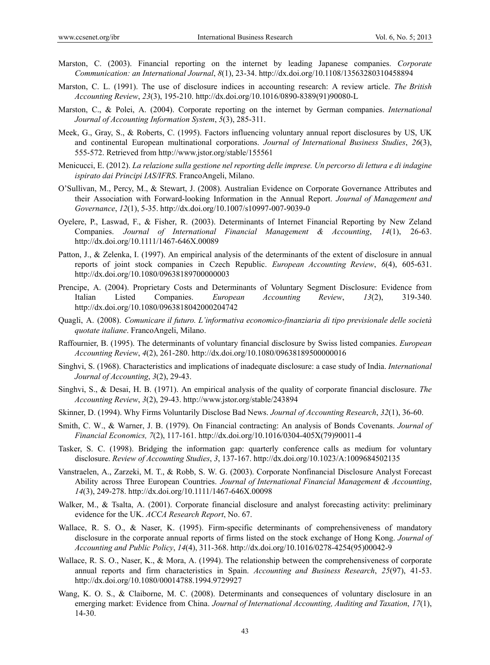- Marston, C. (2003). Financial reporting on the internet by leading Japanese companies. *Corporate Communication: an International Journal*, *8*(1), 23-34. http://dx.doi.org/10.1108/13563280310458894
- Marston, C. L. (1991). The use of disclosure indices in accounting research: A review article. *The British Accounting Review*, *23*(3), 195-210. http://dx.doi.org/10.1016/0890-8389(91)90080-L
- Marston, C., & Polei, A. (2004). Corporate reporting on the internet by German companies. *International Journal of Accounting Information System*, *5*(3), 285-311.
- Meek, G., Gray, S., & Roberts, C. (1995). Factors influencing voluntary annual report disclosures by US, UK and continental European multinational corporations. *Journal of International Business Studies*, *26*(3), 555-572. Retrieved from http://www.jstor.org/stable/155561
- Menicucci, E. (2012). *La relazione sulla gestione nel reporting delle imprese. Un percorso di lettura e di indagine ispirato dai Principi IAS/IFRS*. FrancoAngeli, Milano.
- O'Sullivan, M., Percy, M., & Stewart, J. (2008). Australian Evidence on Corporate Governance Attributes and their Association with Forward-looking Information in the Annual Report. *Journal of Management and Governance*, *12*(1), 5-35. http://dx.doi.org/10.1007/s10997-007-9039-0
- Oyelere, P., Laswad, F., & Fisher, R. (2003). Determinants of Internet Financial Reporting by New Zeland Companies. *Journal of International Financial Management & Accounting*, *14*(1), 26-63. http://dx.doi.org/10.1111/1467-646X.00089
- Patton, J., & Zelenka, I. (1997). An empirical analysis of the determinants of the extent of disclosure in annual reports of joint stock companies in Czech Republic. *European Accounting Review*, *6*(4), 605-631. http://dx.doi.org/10.1080/09638189700000003
- Prencipe, A. (2004). Proprietary Costs and Determinants of Voluntary Segment Disclosure: Evidence from Italian Listed Companies. *European Accounting Review*, *13*(2), 319-340. http://dx.doi.org/10.1080/0963818042000204742
- Quagli, A. (2008). *Comunicare il futuro. L'informativa economico-finanziaria di tipo previsionale delle società quotate italiane*. FrancoAngeli, Milano.
- Raffournier, B. (1995). The determinants of voluntary financial disclosure by Swiss listed companies. *European Accounting Review*, *4*(2), 261-280. http://dx.doi.org/10.1080/09638189500000016
- Singhvi, S. (1968). Characteristics and implications of inadequate disclosure: a case study of India. *International Journal of Accounting*, *3*(2), 29-43.
- Singhvi, S., & Desai, H. B. (1971). An empirical analysis of the quality of corporate financial disclosure. *The Accounting Review*, *3*(2), 29-43. http://www.jstor.org/stable/243894
- Skinner, D. (1994). Why Firms Voluntarily Disclose Bad News. *Journal of Accounting Research*, *32*(1), 36-60.
- Smith, C. W., & Warner, J. B. (1979). On Financial contracting: An analysis of Bonds Covenants. *Journal of Financial Economics, 7*(2), 117-161. http://dx.doi.org/10.1016/0304-405X(79)90011-4
- Tasker, S. C. (1998). Bridging the information gap: quarterly conference calls as medium for voluntary disclosure. *Review of Accounting Studies*, *3*, 137-167. http://dx.doi.org/10.1023/A:1009684502135
- Vanstraelen, A., Zarzeki, M. T., & Robb, S. W. G. (2003). Corporate Nonfinancial Disclosure Analyst Forecast Ability across Three European Countries. *Journal of International Financial Management & Accounting*, *14*(3), 249-278. http://dx.doi.org/10.1111/1467-646X.00098
- Walker, M., & Tsalta, A. (2001). Corporate financial disclosure and analyst forecasting activity: preliminary evidence for the UK. *ACCA Research Report*, No. 67.
- Wallace, R. S. O., & Naser, K. (1995). Firm-specific determinants of comprehensiveness of mandatory disclosure in the corporate annual reports of firms listed on the stock exchange of Hong Kong. *Journal of Accounting and Public Policy*, *14*(4), 311-368. http://dx.doi.org/10.1016/0278-4254(95)00042-9
- Wallace, R. S. O., Naser, K., & Mora, A. (1994). The relationship between the comprehensiveness of corporate annual reports and firm characteristics in Spain. *Accounting and Business Research*, *25*(97), 41-53. http://dx.doi.org/10.1080/00014788.1994.9729927
- Wang, K. O. S., & Claiborne, M. C. (2008). Determinants and consequences of voluntary disclosure in an emerging market: Evidence from China. *Journal of International Accounting, Auditing and Taxation*, *17*(1), 14-30.